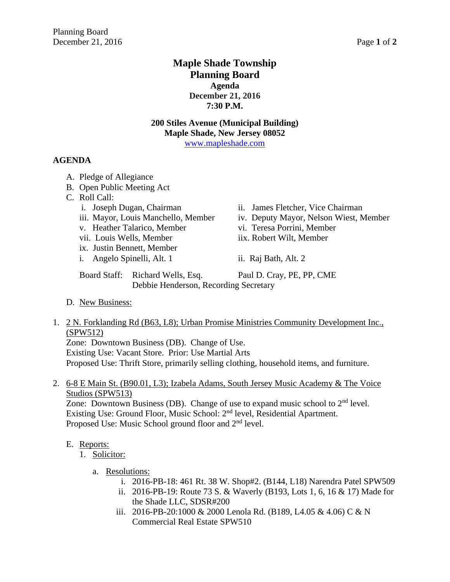# **Maple Shade Township Planning Board Agenda December 21, 2016 7:30 P.M.**

# **200 Stiles Avenue (Municipal Building) Maple Shade, New Jersey 08052**

[www.mapleshade.com](http://www.mapleshade.com/)

## **AGENDA**

- A. Pledge of Allegiance
- B. Open Public Meeting Act
- C. Roll Call:
	-
	-
	- v. Heather Talarico, Member vi. Teresa Porrini, Member
	- vii. Louis Wells, Member iix. Robert Wilt, Member
	- ix. Justin Bennett, Member
	- i. Angelo Spinelli, Alt. 1 ii. Raj Bath, Alt. 2
	- i. Joseph Dugan, Chairman ii. James Fletcher, Vice Chairman
	- iii. Mayor, Louis Manchello, Member iv. Deputy Mayor, Nelson Wiest, Member
		-
		-
		-
	- Board Staff: Richard Wells, Esq. Paul D. Cray, PE, PP, CME Debbie Henderson, Recording Secretary
- D. New Business:
- 1. 2 N. Forklanding Rd (B63, L8); Urban Promise Ministries Community Development Inc., (SPW512)

Zone: Downtown Business (DB). Change of Use.

Existing Use: Vacant Store. Prior: Use Martial Arts

Proposed Use: Thrift Store, primarily selling clothing, household items, and furniture.

2. 6-8 E Main St. (B90.01, L3); Izabela Adams, South Jersey Music Academy & The Voice Studios (SPW513)

Zone: Downtown Business (DB). Change of use to expand music school to 2<sup>nd</sup> level. Existing Use: Ground Floor, Music School: 2<sup>nd</sup> level, Residential Apartment. Proposed Use: Music School ground floor and 2<sup>nd</sup> level.

## E. Reports:

- 1. Solicitor:
	- a. Resolutions:
		- i. 2016-PB-18: 461 Rt. 38 W. Shop#2. (B144, L18) Narendra Patel SPW509
		- ii. 2016-PB-19: Route 73 S. & Waverly (B193, Lots 1, 6, 16 & 17) Made for the Shade LLC, SDSR#200
		- iii. 2016-PB-20:1000 & 2000 Lenola Rd. (B189, L4.05 & 4.06) C & N Commercial Real Estate SPW510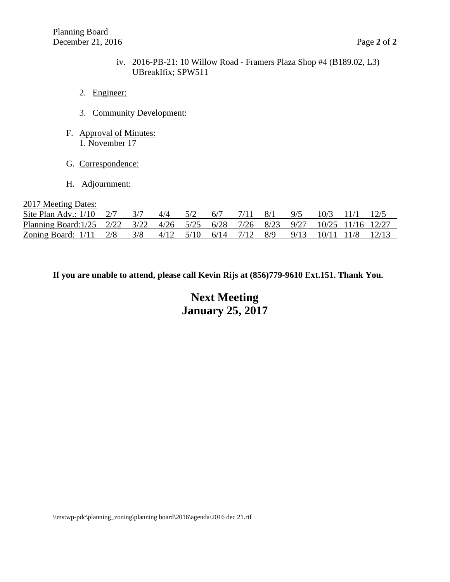- iv. 2016-PB-21: 10 Willow Road Framers Plaza Shop #4 (B189.02, L3) UBreakIfix; SPW511
- 2. Engineer:
- 3. Community Development:
- F. Approval of Minutes: 1. November 17
- G. Correspondence:
- H. Adjournment:

2017 Meeting Dates:

| Site Plan Adv.: $1/10$ $2/7$ $3/7$ $4/4$ $5/2$                                 |  |  | 6/7 |  | $7/11$ $8/1$ $9/5$ $10/3$ $11/1$ $12/5$ |  |
|--------------------------------------------------------------------------------|--|--|-----|--|-----------------------------------------|--|
| Planning Board: 1/25 2/22 3/22 4/26 5/25 6/28 7/26 8/23 9/27 10/25 11/16 12/27 |  |  |     |  |                                         |  |
| Zoning Board: 1/11 2/8 3/8 4/12 5/10 6/14 7/12 8/9 9/13 10/11 11/8 12/13       |  |  |     |  |                                         |  |

**If you are unable to attend, please call Kevin Rijs at (856)779-9610 Ext.151. Thank You.**

**Next Meeting January 25, 2017**

\\mstwp-pdc\planning\_zoning\planning board\2016\agenda\2016 dec 21.rtf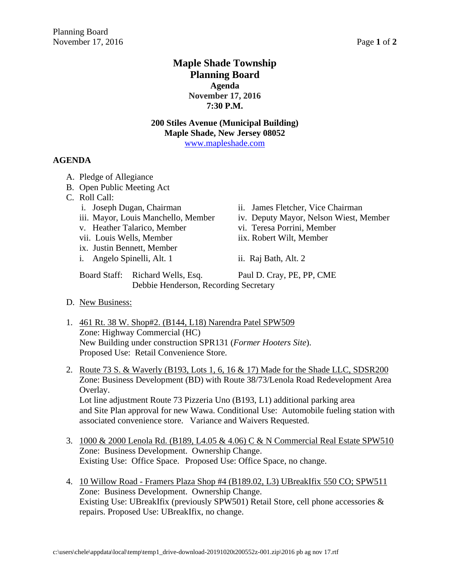# **Maple Shade Township Planning Board Agenda November 17, 2016 7:30 P.M.**

# **200 Stiles Avenue (Municipal Building) Maple Shade, New Jersey 08052**

[www.mapleshade.com](http://www.mapleshade.com/)

## **AGENDA**

- A. Pledge of Allegiance
- B. Open Public Meeting Act
- C. Roll Call:
	-
	-
	- v. Heather Talarico, Member vi. Teresa Porrini, Member
	- vii. Louis Wells, Member iix. Robert Wilt, Member
	- ix. Justin Bennett, Member
	- i. Angelo Spinelli, Alt. 1 ii. Raj Bath, Alt. 2
	- i. Joseph Dugan, Chairman ii. James Fletcher, Vice Chairman
	- iii. Mayor, Louis Manchello, Member iv. Deputy Mayor, Nelson Wiest, Member
		-
		-
		-
	- Board Staff: Richard Wells, Esq. Paul D. Cray, PE, PP, CME Debbie Henderson, Recording Secretary
- D. New Business:
- 1. 461 Rt. 38 W. Shop#2. (B144, L18) Narendra Patel SPW509 Zone: Highway Commercial (HC) New Building under construction SPR131 (*Former Hooters Site*). Proposed Use: Retail Convenience Store.
- 2. Route 73 S. & Waverly (B193, Lots 1, 6, 16 & 17) Made for the Shade LLC, SDSR200 Zone: Business Development (BD) with Route 38/73/Lenola Road Redevelopment Area Overlay. Lot line adjustment Route 73 Pizzeria Uno (B193, L1) additional parking area and Site Plan approval for new Wawa. Conditional Use: Automobile fueling station with associated convenience store. Variance and Waivers Requested.
- 3. 1000 & 2000 Lenola Rd. (B189, L4.05 & 4.06) C & N Commercial Real Estate SPW510 Zone: Business Development. Ownership Change. Existing Use: Office Space. Proposed Use: Office Space, no change.
- 4. 10 Willow Road Framers Plaza Shop #4 (B189.02, L3) UBreakIfix 550 CO; SPW511 Zone: Business Development. Ownership Change. Existing Use: UBreakIfix (previously SPW501) Retail Store, cell phone accessories & repairs. Proposed Use: UBreakIfix, no change.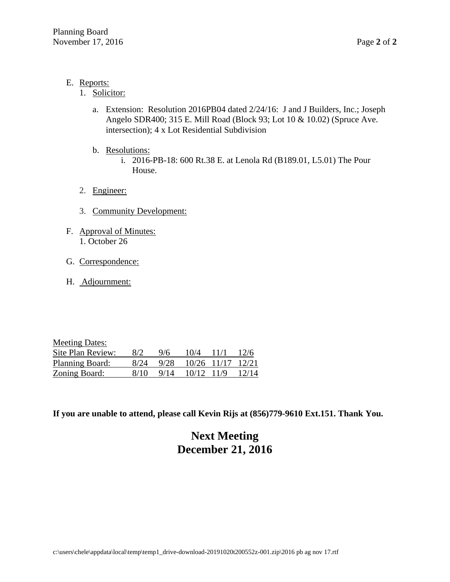- E. Reports:
	- 1. Solicitor:
		- a. Extension: Resolution 2016PB04 dated 2/24/16: J and J Builders, Inc.; Joseph Angelo SDR400; 315 E. Mill Road (Block 93; Lot 10 & 10.02) (Spruce Ave. intersection); 4 x Lot Residential Subdivision
		- b. Resolutions:
			- i. 2016-PB-18: 600 Rt.38 E. at Lenola Rd (B189.01, L5.01) The Pour House.
	- 2. Engineer:
	- 3. Community Development:
- F. Approval of Minutes: 1. October 26
- G. Correspondence:
- H. Adjournment:

| <b>Meeting Dates:</b>  |      |      |               |      |       |
|------------------------|------|------|---------------|------|-------|
| Site Plan Review:      | 8/2  | 9/6  | 10/4          | 11/1 | 12/6  |
| <b>Planning Board:</b> | 8/24 | 9/28 | $10/26$ 11/17 |      | 12/21 |
| Zoning Board:          | 8/10 | 9/14 | 10/12 11/9    |      | 12/14 |

# **Next Meeting December 21, 2016**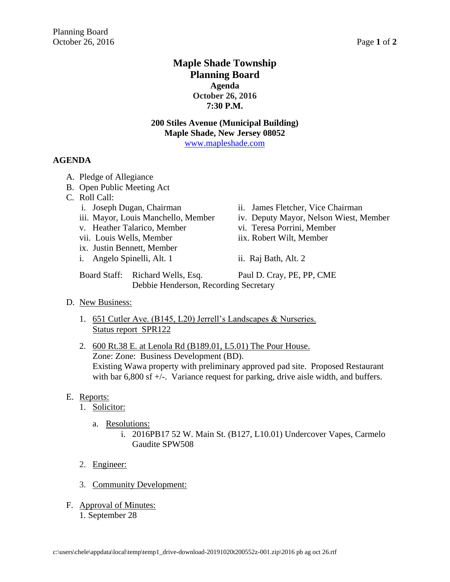# **Maple Shade Township Planning Board Agenda October 26, 2016 7:30 P.M.**

# **200 Stiles Avenue (Municipal Building) Maple Shade, New Jersey 08052**

[www.mapleshade.com](http://www.mapleshade.com/)

## **AGENDA**

- A. Pledge of Allegiance
- B. Open Public Meeting Act
- C. Roll Call:
	-
	-
	- v. Heather Talarico, Member vi. Teresa Porrini, Member
	- vii. Louis Wells, Member iix. Robert Wilt, Member
	- ix. Justin Bennett, Member
	- i. Angelo Spinelli, Alt. 1 ii. Raj Bath, Alt. 2
	- i. Joseph Dugan, Chairman ii. James Fletcher, Vice Chairman
	- iii. Mayor, Louis Manchello, Member iv. Deputy Mayor, Nelson Wiest, Member
		-
		-
		-
	- Board Staff: Richard Wells, Esq. Paul D. Cray, PE, PP, CME Debbie Henderson, Recording Secretary
- D. New Business:
	- 1. 651 Cutler Ave. (B145, L20) Jerrell's Landscapes & Nurseries. Status report SPR122
	- 2. 600 Rt.38 E. at Lenola Rd (B189.01, L5.01) The Pour House. Zone: Zone: Business Development (BD). Existing Wawa property with preliminary approved pad site. Proposed Restaurant with bar 6,800 sf +/-. Variance request for parking, drive aisle width, and buffers.

## E. Reports:

- 1. Solicitor:
	- a. Resolutions:
		- i. 2016PB17 52 W. Main St. (B127, L10.01) Undercover Vapes, Carmelo Gaudite SPW508
- 2. Engineer:
- 3. Community Development:
- F. Approval of Minutes: 1. September 28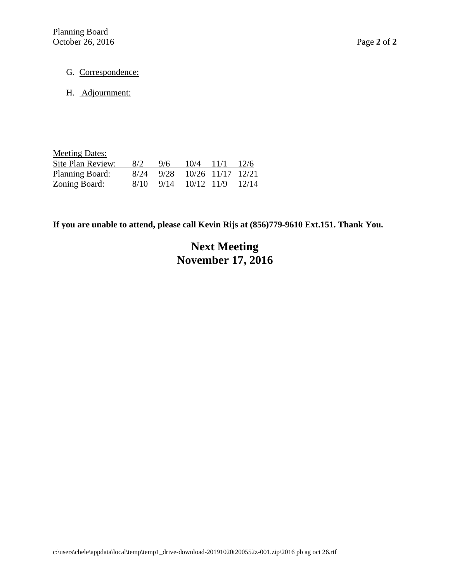- G. Correspondence:
- H. Adjournment:

| <b>Meeting Dates:</b> |      |      |            |                   |       |
|-----------------------|------|------|------------|-------------------|-------|
| Site Plan Review:     | 8/2  | 9/6  | 10/4       | 11/1              | 12/6  |
| Planning Board:       | 8/24 | 9/28 |            | 10/26 11/17 12/21 |       |
| <b>Zoning Board:</b>  | 8/10 | 9/14 | 10/12 11/9 |                   | 12/14 |

# **Next Meeting November 17, 2016**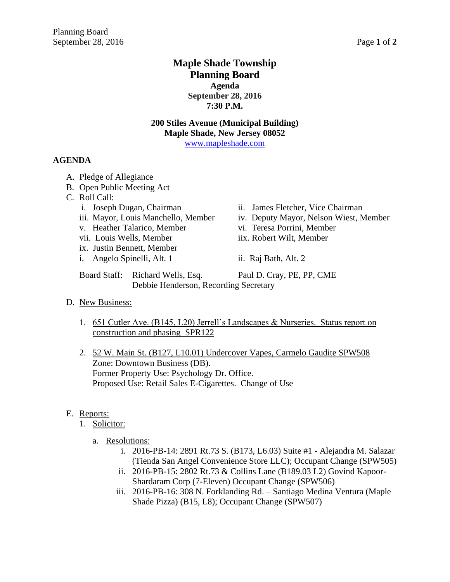# **Maple Shade Township Planning Board Agenda September 28, 2016 7:30 P.M.**

# **200 Stiles Avenue (Municipal Building) Maple Shade, New Jersey 08052**

[www.mapleshade.com](http://www.mapleshade.com/)

## **AGENDA**

- A. Pledge of Allegiance
- B. Open Public Meeting Act
- C. Roll Call:
	-
	-
	- v. Heather Talarico, Member vi. Teresa Porrini, Member
	- vii. Louis Wells, Member iix. Robert Wilt, Member
	- ix. Justin Bennett, Member
	- i. Angelo Spinelli, Alt. 1 ii. Raj Bath, Alt. 2
	- i. Joseph Dugan, Chairman ii. James Fletcher, Vice Chairman
	- iii. Mayor, Louis Manchello, Member iv. Deputy Mayor, Nelson Wiest, Member
		-
		-
		-
	- Board Staff: Richard Wells, Esq. Paul D. Cray, PE, PP, CME Debbie Henderson, Recording Secretary
- D. New Business:
	- 1. 651 Cutler Ave. (B145, L20) Jerrell's Landscapes & Nurseries. Status report on construction and phasing SPR122
	- 2. 52 W. Main St. (B127, L10.01) Undercover Vapes, Carmelo Gaudite SPW508 Zone: Downtown Business (DB). Former Property Use: Psychology Dr. Office. Proposed Use: Retail Sales E-Cigarettes. Change of Use

## E. Reports:

- 1. Solicitor:
	- a. Resolutions:
		- i. 2016-PB-14: 2891 Rt.73 S. (B173, L6.03) Suite #1 Alejandra M. Salazar (Tienda San Angel Convenience Store LLC); Occupant Change (SPW505)
		- ii. 2016-PB-15: 2802 Rt.73 & Collins Lane (B189.03 L2) Govind Kapoor-Shardaram Corp (7-Eleven) Occupant Change (SPW506)
		- iii. 2016-PB-16: 308 N. Forklanding Rd. Santiago Medina Ventura (Maple Shade Pizza) (B15, L8); Occupant Change (SPW507)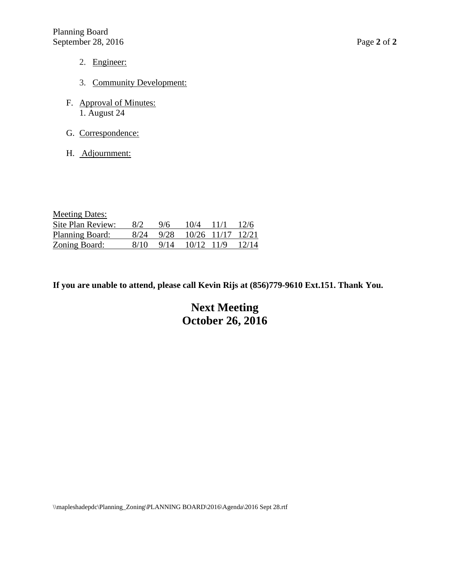- 2. Engineer:
- 3. Community Development:
- F. Approval of Minutes: 1. August 24
- G. Correspondence:
- H. Adjournment:

| <b>Meeting Dates:</b>  |      |      |       |               |       |
|------------------------|------|------|-------|---------------|-------|
| Site Plan Review:      | 8/2  | 9/6  | 10/4  | 11/1          | 12/6  |
| <b>Planning Board:</b> | 8/24 | 9/28 |       | $10/26$ 11/17 | 12/21 |
| Zoning Board:          | 8/10 | 9/14 | 10/12 | -11/9         | 12/14 |

# **Next Meeting October 26, 2016**

\\mapleshadepdc\Planning\_Zoning\PLANNING BOARD\2016\Agenda\2016 Sept 28.rtf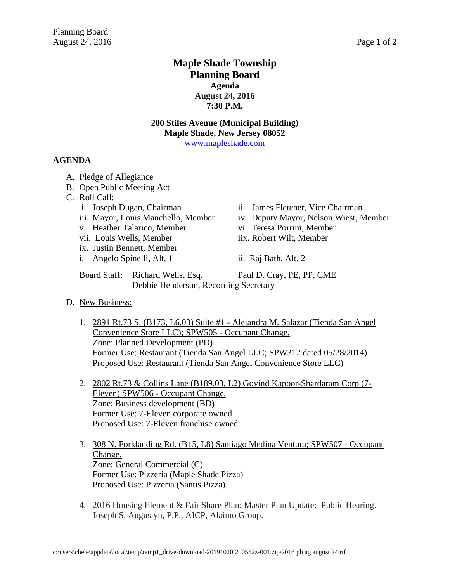# **Maple Shade Township Planning Board Agenda August 24, 2016 7:30 P.M.**

# **200 Stiles Avenue (Municipal Building) Maple Shade, New Jersey 08052**

[www.mapleshade.com](http://www.mapleshade.com/)

## **AGENDA**

- A. Pledge of Allegiance
- B. Open Public Meeting Act
- C. Roll Call:
	-
	-
	- v. Heather Talarico, Member vi. Teresa Porrini, Member
	- vii. Louis Wells, Member iix. Robert Wilt, Member
	- ix. Justin Bennett, Member
	- i. Angelo Spinelli, Alt. 1 ii. Raj Bath, Alt. 2
	- i. Joseph Dugan, Chairman ii. James Fletcher, Vice Chairman
	- iii. Mayor, Louis Manchello, Member iv. Deputy Mayor, Nelson Wiest, Member
		-
		-
		-
	- Board Staff: Richard Wells, Esq. Paul D. Cray, PE, PP, CME Debbie Henderson, Recording Secretary
- D. New Business:
	- 1. 2891 Rt.73 S. (B173, L6.03) Suite #1 Alejandra M. Salazar (Tienda San Angel Convenience Store LLC); SPW505 - Occupant Change. Zone: Planned Development (PD) Former Use: Restaurant (Tienda San Angel LLC; SPW312 dated 05/28/2014) Proposed Use: Restaurant (Tienda San Angel Convenience Store LLC)
	- 2. 2802 Rt.73 & Collins Lane (B189.03, L2) Govind Kapoor-Shardaram Corp (7- Eleven) SPW506 - Occupant Change. Zone: Business development (BD) Former Use: 7-Eleven corporate owned Proposed Use: 7-Eleven franchise owned
	- 3. 308 N. Forklanding Rd. (B15, L8) Santiago Medina Ventura; SPW507 Occupant Change. Zone: General Commercial (C) Former Use: Pizzeria (Maple Shade Pizza) Proposed Use: Pizzeria (Santis Pizza)
	- 4. 2016 Housing Element & Fair Share Plan; Master Plan Update: Public Hearing. Joseph S. Augustyn, P.P., AICP, Alaimo Group.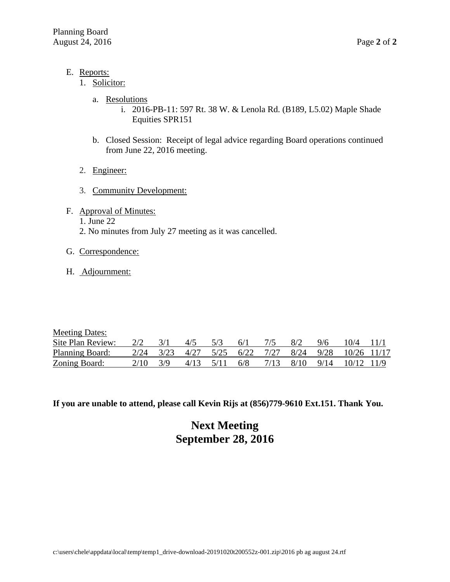- E. Reports:
	- 1. Solicitor:
		- a. Resolutions
			- i. 2016-PB-11: 597 Rt. 38 W. & Lenola Rd. (B189, L5.02) Maple Shade Equities SPR151
		- b. Closed Session: Receipt of legal advice regarding Board operations continued from June 22, 2016 meeting.
	- 2. Engineer:
	- 3. Community Development:
- F. Approval of Minutes:
	- 1. June 22
	- 2. No minutes from July 27 meeting as it was cancelled.
- G. Correspondence:
- H. Adjournment:

| <b>Meeting Dates:</b> |      |      |      |      |      |      |      |      |               |         |
|-----------------------|------|------|------|------|------|------|------|------|---------------|---------|
| Site Plan Review:     | 2/2  |      | 4/5  | 5/3  | 6/1  |      | 8/2  | 9/6  | 10/4          | $-11/1$ |
| Planning Board:       | 2/24 | 3/23 | 4/27 | 5/25 | 6/22 | 7/27 | 8/24 | 9/28 | $10/26$ 11/17 |         |
| Zoning Board:         | 2/10 |      | 4/13 | 5/11 | 6/8  | 7/13 | 8/10 | 9/14 | 10/12 11/9    |         |

# **Next Meeting September 28, 2016**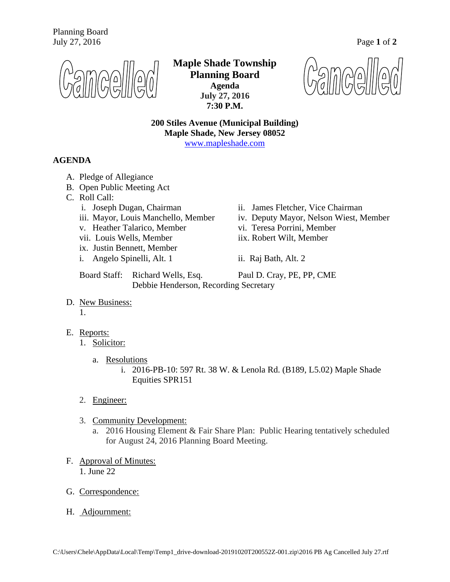

**Maple Shade Township Planning Board Agenda July 27, 2016 7:30 P.M.**

**200 Stiles Avenue (Municipal Building) Maple Shade, New Jersey 08052** [www.mapleshade.com](http://www.mapleshade.com/)

**AGENDA**

- A. Pledge of Allegiance
- B. Open Public Meeting Act
- C. Roll Call:
	-
	-
	- v. Heather Talarico, Member vi. Teresa Porrini, Member
	- vii. Louis Wells, Member iix. Robert Wilt, Member
	- ix. Justin Bennett, Member
	- i. Angelo Spinelli, Alt. 1 ii. Raj Bath, Alt. 2
	- i. Joseph Dugan, Chairman ii. James Fletcher, Vice Chairman
	- iii. Mayor, Louis Manchello, Member iv. Deputy Mayor, Nelson Wiest, Member
		-
		-
		-

Board Staff: Richard Wells, Esq. Paul D. Cray, PE, PP, CME Debbie Henderson, Recording Secretary

D. New Business:

1.

- E. Reports:
	- 1. Solicitor:
		- a. Resolutions
			- i. 2016-PB-10: 597 Rt. 38 W. & Lenola Rd. (B189, L5.02) Maple Shade Equities SPR151
	- 2. Engineer:
	- 3. Community Development:
		- a. 2016 Housing Element & Fair Share Plan: Public Hearing tentatively scheduled for August 24, 2016 Planning Board Meeting.
- F. Approval of Minutes: 1. June 22
- G. Correspondence:
- H. Adjournment: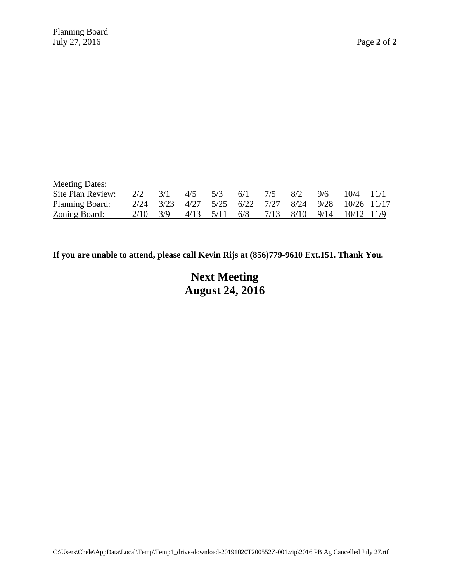| <b>Meeting Dates:</b> |      |      |      |      |      |      |      |      |       |       |
|-----------------------|------|------|------|------|------|------|------|------|-------|-------|
| Site Plan Review:     | 2/2  |      | 4/5  | 5/3  | 6/1  |      | 8/2  | 9/6  | 10/4  | 11/1  |
| Planning Board:       | 2/24 | 3/23 | 4/27 | 5/25 | 6/22 | 7/27 | 8/24 | 9/28 | 10/26 | 11/17 |
| Zoning Board:         | 2/10 | 3/9  | 4/13 |      | 6/8  | 7/13 | 8/10 | 9/14 |       |       |

# **Next Meeting August 24, 2016**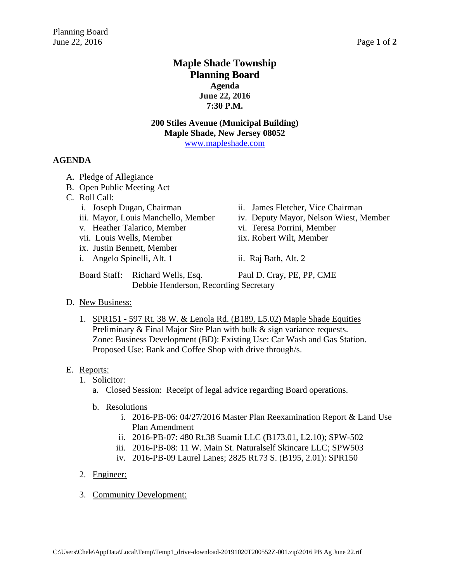# **Maple Shade Township Planning Board Agenda June 22, 2016 7:30 P.M.**

## **200 Stiles Avenue (Municipal Building) Maple Shade, New Jersey 08052**

[www.mapleshade.com](http://www.mapleshade.com/)

## **AGENDA**

- A. Pledge of Allegiance
- B. Open Public Meeting Act
- C. Roll Call:
	-
	-
	- v. Heather Talarico, Member vi. Teresa Porrini, Member
	- vii. Louis Wells, Member iix. Robert Wilt, Member
	- ix. Justin Bennett, Member
	- i. Angelo Spinelli, Alt. 1 ii. Raj Bath, Alt. 2
	- i. Joseph Dugan, Chairman ii. James Fletcher, Vice Chairman
	- iii. Mayor, Louis Manchello, Member iv. Deputy Mayor, Nelson Wiest, Member
		-
		-
		-

Board Staff: Richard Wells, Esq. Paul D. Cray, PE, PP, CME Debbie Henderson, Recording Secretary

#### D. New Business:

1. SPR151 - 597 Rt. 38 W. & Lenola Rd. (B189, L5.02) Maple Shade Equities Preliminary & Final Major Site Plan with bulk & sign variance requests. Zone: Business Development (BD): Existing Use: Car Wash and Gas Station. Proposed Use: Bank and Coffee Shop with drive through/s.

## E. Reports:

- 1. Solicitor:
	- a. Closed Session: Receipt of legal advice regarding Board operations.
	- b. Resolutions
		- i. 2016-PB-06: 04/27/2016 Master Plan Reexamination Report & Land Use Plan Amendment
		- ii. 2016-PB-07: 480 Rt.38 Suamit LLC (B173.01, L2.10); SPW-502
		- iii. 2016-PB-08: 11 W. Main St. Naturalself Skincare LLC; SPW503
		- iv. 2016-PB-09 Laurel Lanes; 2825 Rt.73 S. (B195, 2.01): SPR150
- 2. Engineer:
- 3. Community Development: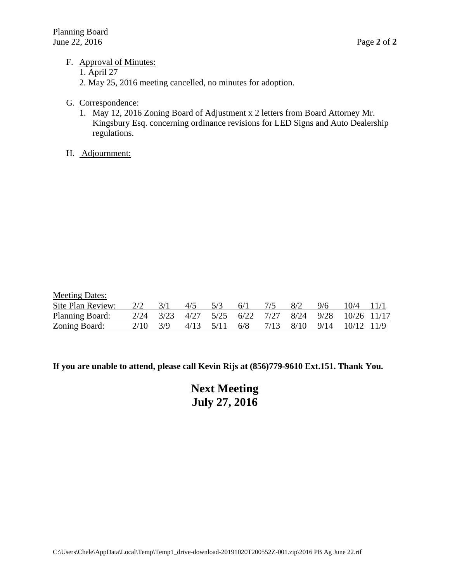## F. Approval of Minutes:

- 1. April 27
- 2. May 25, 2016 meeting cancelled, no minutes for adoption.
- G. Correspondence:
	- 1. May 12, 2016 Zoning Board of Adjustment x 2 letters from Board Attorney Mr. Kingsbury Esq. concerning ordinance revisions for LED Signs and Auto Dealership regulations.
- H. Adjournment:

| <b>Meeting Dates:</b>  |      |      |      |      |           |      |     |     |                              |         |
|------------------------|------|------|------|------|-----------|------|-----|-----|------------------------------|---------|
| Site Plan Review:      |      |      | 4/5  | 5/3  | 6/1       | 7/5  | 8/2 | 9/6 | 10/4                         | $-11/1$ |
| <b>Planning Board:</b> | 2/24 | 3/23 | 4/27 |      | 5/25 6/22 | 7/27 |     |     | 8/24 9/28 10/26 11/17        |         |
| Zoning Board:          | 2/10 | 3/9  | 4/13 | 5/11 | 6/8       | 7/13 |     |     | $8/10$ $9/14$ $10/12$ $11/9$ |         |

**If you are unable to attend, please call Kevin Rijs at (856)779-9610 Ext.151. Thank You.**

**Next Meeting July 27, 2016**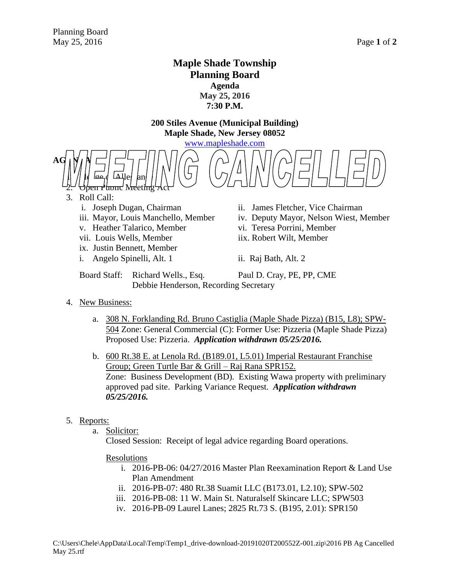# **Maple Shade Township Planning Board Agenda May 25, 2016 7:30 P.M.**

**200 Stiles Avenue (Municipal Building) Maple Shade, New Jersey 08052**

[www.mapleshade.com](http://www.mapleshade.com/)



## 3. Roll Call:

- 
- 
- v. Heather Talarico, Member vi. Teresa Porrini, Member
- vii. Louis Wells, Member iix. Robert Wilt, Member
- ix. Justin Bennett, Member
- i. Angelo Spinelli, Alt. 1 ii. Raj Bath, Alt. 2
- i. Joseph Dugan, Chairman ii. James Fletcher, Vice Chairman
- iii. Mayor, Louis Manchello, Member iv. Deputy Mayor, Nelson Wiest, Member
	-
	-
	-

Board Staff: Richard Wells., Esq. Paul D. Cray, PE, PP, CME Debbie Henderson, Recording Secretary

#### 4. New Business:

a. 308 N. Forklanding Rd. Bruno Castiglia (Maple Shade Pizza) (B15, L8); SPW-504 Zone: General Commercial (C): Former Use: Pizzeria (Maple Shade Pizza) Proposed Use: Pizzeria. *Application withdrawn 05/25/2016.*

b. 600 Rt.38 E. at Lenola Rd. (B189.01, L5.01) Imperial Restaurant Franchise Group; Green Turtle Bar & Grill – Raj Rana SPR152. Zone: Business Development (BD). Existing Wawa property with preliminary approved pad site. Parking Variance Request. *Application withdrawn 05/25/2016.*

## 5. Reports:

a. Solicitor:

Closed Session: Receipt of legal advice regarding Board operations.

#### Resolutions

- i. 2016-PB-06: 04/27/2016 Master Plan Reexamination Report & Land Use Plan Amendment
- ii. 2016-PB-07: 480 Rt.38 Suamit LLC (B173.01, L2.10); SPW-502
- iii. 2016-PB-08: 11 W. Main St. Naturalself Skincare LLC; SPW503
- iv. 2016-PB-09 Laurel Lanes; 2825 Rt.73 S. (B195, 2.01): SPR150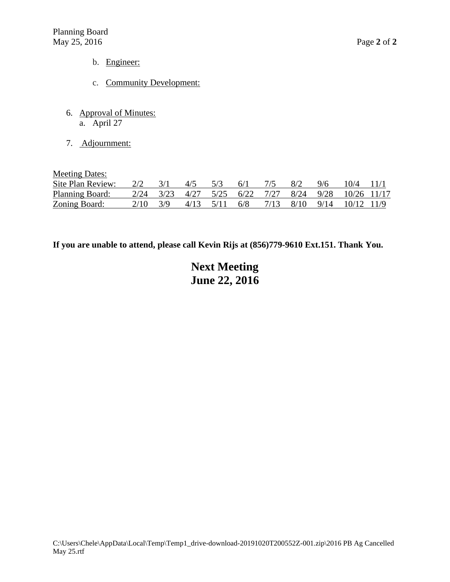- b. Engineer:
- c. Community Development:
- 6. Approval of Minutes: a. April 27
- 7. Adjournment:

Meeting Dates:

| Site Plan Review:      | $2/2$ $3/1$  | $4/5$ $5/3$   | $-6/1$ | - 8/2 | 9/6 | 10/4 11/1                                           |  |
|------------------------|--------------|---------------|--------|-------|-----|-----------------------------------------------------|--|
| <b>Planning Board:</b> |              |               |        |       |     | 2/24 3/23 4/27 5/25 6/22 7/27 8/24 9/28 10/26 11/17 |  |
| Zoning Board:          | $2/10 - 3/9$ | 4/13 5/11 6/8 |        |       |     | $7/13$ $8/10$ $9/14$ $10/12$ $11/9$                 |  |

**If you are unable to attend, please call Kevin Rijs at (856)779-9610 Ext.151. Thank You.**

# **Next Meeting June 22, 2016**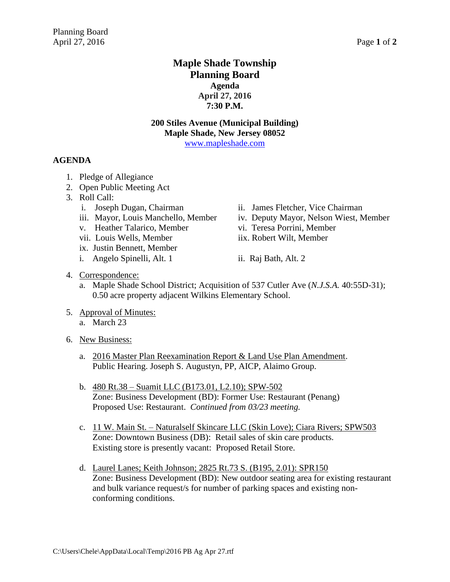# **Maple Shade Township Planning Board Agenda April 27, 2016 7:30 P.M.**

## **200 Stiles Avenue (Municipal Building) Maple Shade, New Jersey 08052**

[www.mapleshade.com](http://www.mapleshade.com/)

## **AGENDA**

- 1. Pledge of Allegiance
- 2. Open Public Meeting Act
- 3. Roll Call:
	-
	-
	- v. Heather Talarico, Member vi. Teresa Porrini, Member
	- vii. Louis Wells, Member iix. Robert Wilt, Member
	- ix. Justin Bennett, Member
	- i. Angelo Spinelli, Alt. 1 ii. Raj Bath, Alt. 2
	- i. Joseph Dugan, Chairman ii. James Fletcher, Vice Chairman
	- iii. Mayor, Louis Manchello, Member iv. Deputy Mayor, Nelson Wiest, Member
		-
		-
		-

- 4. Correspondence:
	- a. Maple Shade School District; Acquisition of 537 Cutler Ave (*N.J.S.A.* 40:55D-31); 0.50 acre property adjacent Wilkins Elementary School.
- 5. Approval of Minutes: a. March 23
- 6. New Business:
	- a. 2016 Master Plan Reexamination Report & Land Use Plan Amendment. Public Hearing. Joseph S. Augustyn, PP, AICP, Alaimo Group.
	- b. 480 Rt.38 Suamit LLC (B173.01, L2.10); SPW-502 Zone: Business Development (BD): Former Use: Restaurant (Penang) Proposed Use: Restaurant. *Continued from 03/23 meeting.*
	- c. 11 W. Main St. Naturalself Skincare LLC (Skin Love); Ciara Rivers; SPW503 Zone: Downtown Business (DB): Retail sales of skin care products. Existing store is presently vacant: Proposed Retail Store.
	- d. Laurel Lanes; Keith Johnson; 2825 Rt.73 S. (B195, 2.01): SPR150 Zone: Business Development (BD): New outdoor seating area for existing restaurant and bulk variance request/s for number of parking spaces and existing nonconforming conditions.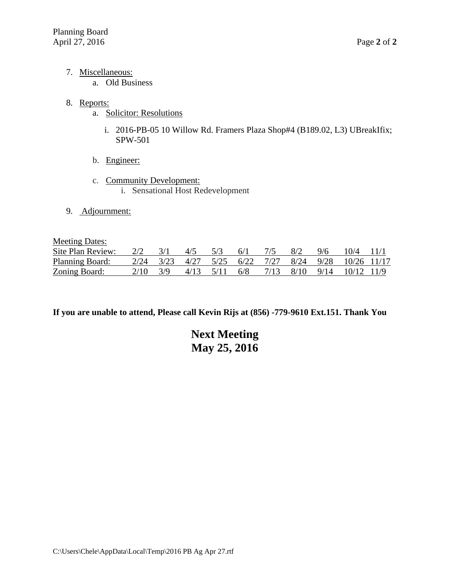- 7. Miscellaneous:
	- a. Old Business

## 8. Reports:

- a. Solicitor: Resolutions
	- i. 2016-PB-05 10 Willow Rd. Framers Plaza Shop#4 (B189.02, L3) UBreakIfix; SPW-501
- b. Engineer:
- c. Community Development: i. Sensational Host Redevelopment
- 9. Adjournment:

Meeting Dates:

| Site Plan Review:      | $2/2$ $3/1$  | $4/5$ $5/3$ $6/1$   |  | 8/2 | 9/6 | $10/4$ 11/1                                         |  |
|------------------------|--------------|---------------------|--|-----|-----|-----------------------------------------------------|--|
| <b>Planning Board:</b> |              |                     |  |     |     | 2/24 3/23 4/27 5/25 6/22 7/27 8/24 9/28 10/26 11/17 |  |
| <b>Zoning Board:</b>   | $2/10 - 3/9$ | $4/13$ $5/11$ $6/8$ |  |     |     | 7/13 8/10 9/14 10/12 11/9                           |  |

**If you are unable to attend, Please call Kevin Rijs at (856) -779-9610 Ext.151. Thank You**

# **Next Meeting May 25, 2016**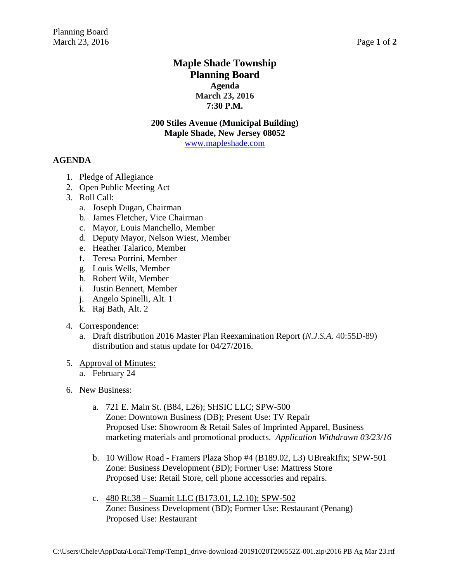# **Maple Shade Township Planning Board Agenda March 23, 2016 7:30 P.M.**

## **200 Stiles Avenue (Municipal Building) Maple Shade, New Jersey 08052**

[www.mapleshade.com](http://www.mapleshade.com/)

## **AGENDA**

- 1. Pledge of Allegiance
- 2. Open Public Meeting Act
- 3. Roll Call:
	- a. Joseph Dugan, Chairman
	- b. James Fletcher, Vice Chairman
	- c. Mayor, Louis Manchello, Member
	- d. Deputy Mayor, Nelson Wiest, Member
	- e. Heather Talarico, Member
	- f. Teresa Porrini, Member
	- g. Louis Wells, Member
	- h. Robert Wilt, Member
	- i. Justin Bennett, Member
	- j. Angelo Spinelli, Alt. 1
	- k. Raj Bath, Alt. 2

## 4. Correspondence:

a. Draft distribution 2016 Master Plan Reexamination Report (*N.J.S.A.* 40:55D-89) distribution and status update for 04/27/2016.

## 5. Approval of Minutes:

- a. February 24
- 6. New Business:
	- a. 721 E. Main St. (B84, L26); SHSIC LLC; SPW-500 Zone: Downtown Business (DB); Present Use: TV Repair Proposed Use: Showroom & Retail Sales of Imprinted Apparel, Business marketing materials and promotional products. *Application Withdrawn 03/23/16*
	- b. 10 Willow Road Framers Plaza Shop #4 (B189.02, L3) UBreakIfix; SPW-501 Zone: Business Development (BD); Former Use: Mattress Store Proposed Use: Retail Store, cell phone accessories and repairs.
	- c. 480 Rt.38 Suamit LLC (B173.01, L2.10); SPW-502 Zone: Business Development (BD); Former Use: Restaurant (Penang) Proposed Use: Restaurant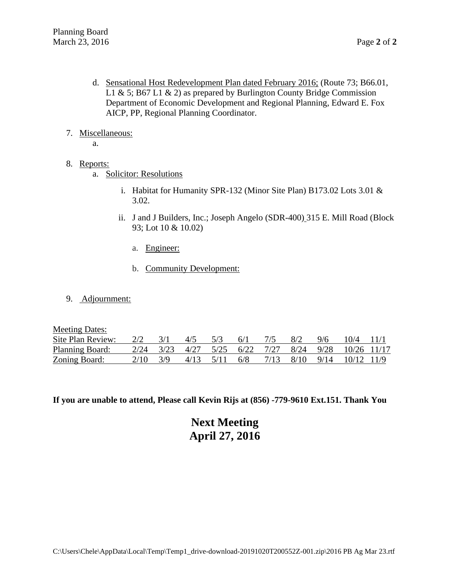- d. Sensational Host Redevelopment Plan dated February 2016; (Route 73; B66.01, L1 & 5; B67 L1 & 2) as prepared by Burlington County Bridge Commission Department of Economic Development and Regional Planning, Edward E. Fox AICP, PP, Regional Planning Coordinator.
- 7. Miscellaneous:
	- a.
- 8. Reports:
	- a. Solicitor: Resolutions
		- i. Habitat for Humanity SPR-132 (Minor Site Plan) B173.02 Lots 3.01 & 3.02.
		- ii. J and J Builders, Inc.; Joseph Angelo (SDR-400) 315 E. Mill Road (Block 93; Lot 10 & 10.02)
			- a. Engineer:
			- b. Community Development:
- 9. Adjournment:

Meeting Dates:

| Site Plan Review:    | $2/2$ $3/1$ | $4/5$ 5/3 | 6/1 | 8/2 | 9/6 | 10/4 11/1                                               |  |
|----------------------|-------------|-----------|-----|-----|-----|---------------------------------------------------------|--|
| Planning Board:      |             |           |     |     |     | 2/24 3/23 4/27 5/25 6/22 7/27 8/24 9/28 10/26 11/17     |  |
| <b>Zoning Board:</b> | 2/10 3/9    |           |     |     |     | $4/13$ $5/11$ $6/8$ $7/13$ $8/10$ $9/14$ $10/12$ $11/9$ |  |

**If you are unable to attend, Please call Kevin Rijs at (856) -779-9610 Ext.151. Thank You**

**Next Meeting April 27, 2016**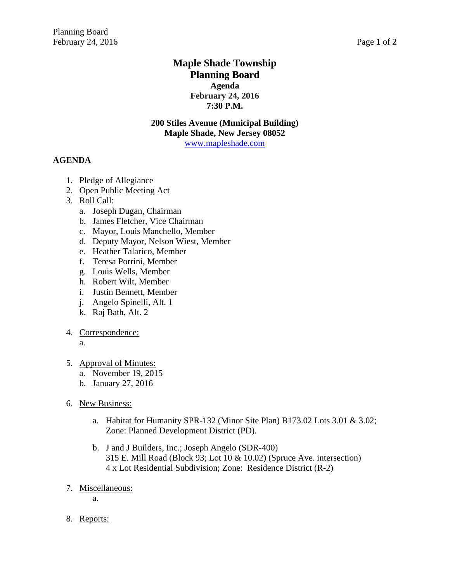# **Maple Shade Township Planning Board Agenda February 24, 2016 7:30 P.M.**

## **200 Stiles Avenue (Municipal Building) Maple Shade, New Jersey 08052**

[www.mapleshade.com](http://www.mapleshade.com/)

## **AGENDA**

- 1. Pledge of Allegiance
- 2. Open Public Meeting Act
- 3. Roll Call:
	- a. Joseph Dugan, Chairman
	- b. James Fletcher, Vice Chairman
	- c. Mayor, Louis Manchello, Member
	- d. Deputy Mayor, Nelson Wiest, Member
	- e. Heather Talarico, Member
	- f. Teresa Porrini, Member
	- g. Louis Wells, Member
	- h. Robert Wilt, Member
	- i. Justin Bennett, Member
	- j. Angelo Spinelli, Alt. 1
	- k. Raj Bath, Alt. 2
- 4. Correspondence:

a.

- 5. Approval of Minutes:
	- a. November 19, 2015
	- b. January 27, 2016
- 6. New Business:
	- a. Habitat for Humanity SPR-132 (Minor Site Plan) B173.02 Lots 3.01 & 3.02; Zone: Planned Development District (PD).
	- b. J and J Builders, Inc.; Joseph Angelo (SDR-400) 315 E. Mill Road (Block 93; Lot 10 & 10.02) (Spruce Ave. intersection) 4 x Lot Residential Subdivision; Zone: Residence District (R-2)
- 7. Miscellaneous:

a.

8. Reports: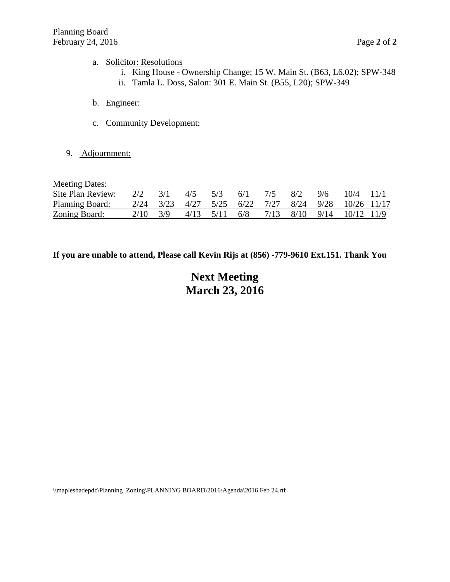#### a. Solicitor: Resolutions

- i. King House Ownership Change; 15 W. Main St. (B63, L6.02); SPW-348
- ii. Tamla L. Doss, Salon: 301 E. Main St. (B55, L20); SPW-349
- b. Engineer:
- c. Community Development:
- 9. Adjournment:

Meeting Dates:

| Site Plan Review:      | $2/2$ $3/1$ | $4/5$ $5/3$ $6/1$ |  |  | 7/5 8/2 9/6 10/4 11/1                                   |  |
|------------------------|-------------|-------------------|--|--|---------------------------------------------------------|--|
| <b>Planning Board:</b> |             |                   |  |  | 2/24 3/23 4/27 5/25 6/22 7/27 8/24 9/28 10/26 11/17     |  |
| Zoning Board:          | $2/10$ 3/9  |                   |  |  | $4/13$ $5/11$ $6/8$ $7/13$ $8/10$ $9/14$ $10/12$ $11/9$ |  |

**If you are unable to attend, Please call Kevin Rijs at (856) -779-9610 Ext.151. Thank You**

# **Next Meeting March 23, 2016**

\\mapleshadepdc\Planning\_Zoning\PLANNING BOARD\2016\Agenda\2016 Feb 24.rtf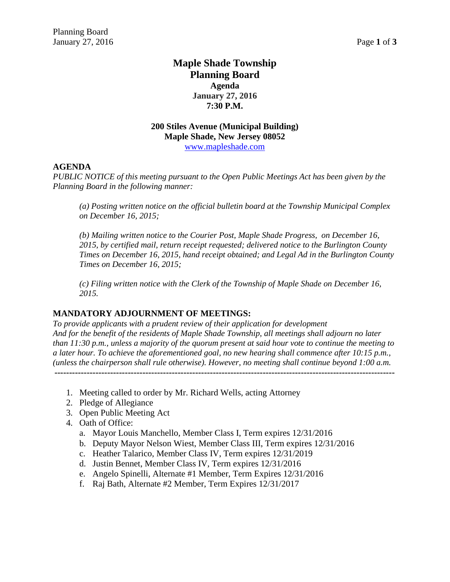# **Maple Shade Township Planning Board Agenda January 27, 2016 7:30 P.M.**

## **200 Stiles Avenue (Municipal Building) Maple Shade, New Jersey 08052** [www.mapleshade.com](http://www.mapleshade.com/)

## **AGENDA**

*PUBLIC NOTICE of this meeting pursuant to the Open Public Meetings Act has been given by the Planning Board in the following manner:*

*(a) Posting written notice on the official bulletin board at the Township Municipal Complex on December 16, 2015;*

*(b) Mailing written notice to the Courier Post, Maple Shade Progress, on December 16, 2015, by certified mail, return receipt requested; delivered notice to the Burlington County Times on December 16, 2015, hand receipt obtained; and Legal Ad in the Burlington County Times on December 16, 2015;*

*(c) Filing written notice with the Clerk of the Township of Maple Shade on December 16, 2015.*

## **MANDATORY ADJOURNMENT OF MEETINGS:**

*To provide applicants with a prudent review of their application for development And for the benefit of the residents of Maple Shade Township, all meetings shall adjourn no later than 11:30 p.m., unless a majority of the quorum present at said hour vote to continue the meeting to a later hour. To achieve the aforementioned goal, no new hearing shall commence after 10:15 p.m., (unless the chairperson shall rule otherwise). However, no meeting shall continue beyond 1:00 a.m.* **--------------------------------------------------------------------------------------------------------------------**

- 1. Meeting called to order by Mr. Richard Wells, acting Attorney
- 2. Pledge of Allegiance
- 3. Open Public Meeting Act
- 4. Oath of Office:
	- a. Mayor Louis Manchello, Member Class I, Term expires 12/31/2016
	- b. Deputy Mayor Nelson Wiest, Member Class III, Term expires 12/31/2016
	- c. Heather Talarico, Member Class IV, Term expires 12/31/2019
	- d. Justin Bennet, Member Class IV, Term expires 12/31/2016
	- e. Angelo Spinelli, Alternate #1 Member, Term Expires 12/31/2016
	- f. Raj Bath, Alternate #2 Member, Term Expires 12/31/2017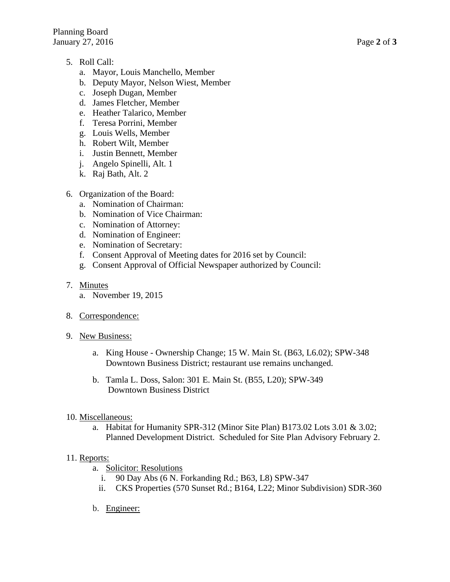- 5. Roll Call:
	- a. Mayor, Louis Manchello, Member
	- b. Deputy Mayor, Nelson Wiest, Member
	- c. Joseph Dugan, Member
	- d. James Fletcher, Member
	- e. Heather Talarico, Member
	- f. Teresa Porrini, Member
	- g. Louis Wells, Member
	- h. Robert Wilt, Member
	- i. Justin Bennett, Member
	- j. Angelo Spinelli, Alt. 1
	- k. Raj Bath, Alt. 2
- 6. Organization of the Board:
	- a. Nomination of Chairman:
	- b. Nomination of Vice Chairman:
	- c. Nomination of Attorney:
	- d. Nomination of Engineer:
	- e. Nomination of Secretary:
	- f. Consent Approval of Meeting dates for 2016 set by Council:
	- g. Consent Approval of Official Newspaper authorized by Council:
- 7. Minutes
	- a. November 19, 2015
- 8. Correspondence:
- 9. New Business:
	- a. King House Ownership Change; 15 W. Main St. (B63, L6.02); SPW-348 Downtown Business District; restaurant use remains unchanged.
	- b. Tamla L. Doss, Salon: 301 E. Main St. (B55, L20); SPW-349 Downtown Business District
- 10. Miscellaneous:
	- a. Habitat for Humanity SPR-312 (Minor Site Plan) B173.02 Lots 3.01 & 3.02; Planned Development District. Scheduled for Site Plan Advisory February 2.

## 11. Reports:

- a. Solicitor: Resolutions
	- i. 90 Day Abs (6 N. Forkanding Rd.; B63, L8) SPW-347
	- ii. CKS Properties (570 Sunset Rd.; B164, L22; Minor Subdivision) SDR-360
- b. Engineer: